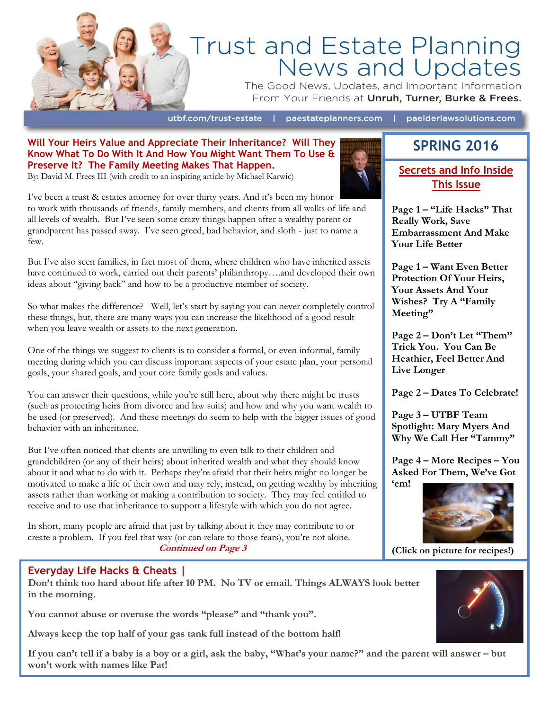

# Trust and Estate Planning<br>News and Updates

The Good News, Updates, and Important Information From Your Friends at Unruh, Turner, Burke & Frees.

utbf.com/trust-estate | paestateplanners.com | paelderlawsolutions.com

#### **Will Your Heirs Value and Appreciate Their Inheritance? Will They Know What To Do With It And How You Might Want Them To Use & Preserve It? The Family Meeting Makes That Happen.**

By: David M. Frees III (with credit to an inspiring article by Michael Karwic)

I've been a trust & estates attorney for over thirty years. And it's been my honor to work with thousands of friends, family members, and clients from all walks of life and all levels of wealth. But I've seen some crazy things happen after a wealthy parent or grandparent has passed away. I've seen greed, bad behavior, and sloth - just to name a few.

But I've also seen families, in fact most of them, where children who have inherited assets have continued to work, carried out their parents' philanthropy….and developed their own ideas about "giving back" and how to be a productive member of society.

So what makes the difference? Well, let's start by saying you can never completely control these things, but, there are many ways you can increase the likelihood of a good result when you leave wealth or assets to the next generation.

One of the things we suggest to clients is to consider a formal, or even informal, family meeting during which you can discuss important aspects of your estate plan, your personal goals, your shared goals, and your core family goals and values.

You can answer their questions, while you're still here, about why there might be trusts (such as protecting heirs from divorce and law suits) and how and why you want wealth to be used (or preserved). And these meetings do seem to help with the bigger issues of good behavior with an inheritance.

But I've often noticed that clients are unwilling to even talk to their children and grandchildren (or any of their heirs) about inherited wealth and what they should know about it and what to do with it. Perhaps they're afraid that their heirs might no longer be motivated to make a life of their own and may rely, instead, on getting wealthy by inheriting assets rather than working or making a contribution to society. They may feel entitled to receive and to use that inheritance to support a lifestyle with which you do not agree.

In short, many people are afraid that just by talking about it they may contribute to or create a problem. If you feel that way (or can relate to those fears), you're not alone. **Continued on Page 3**

#### **Everyday Life Hacks & Cheats |**

**Don't think too hard about life after 10 PM. No TV or email. Things ALWAYS look better in the morning.**

**You cannot abuse or overuse the words "please" and "thank you".**

**Always keep the top half of your gas tank full instead of the bottom half!**

**If you can't tell if a baby is a boy or a girl, ask the baby, "What's your name?" and the parent will answer – but won't work with names like Pat!**



**Page 1 – "Life Hacks" That Really Work, Save Embarrassment And Make Your Life Better**

**Page 1 – Want Even Better Protection Of Your Heirs, Your Assets And Your Wishes? Try A "Family Meeting"**

**Page 2 – Don't Let "Them" Trick You. You Can Be Heathier, Feel Better And Live Longer**

**Page 2 – Dates To Celebrate!**

**Page 3 – UTBF Team Spotlight: Mary Myers And Why We Call Her "Tammy"**

**Page 4 – More Recipes – You Asked For Them, We've Got 'em!**



**(Click on picture for recipes!)**

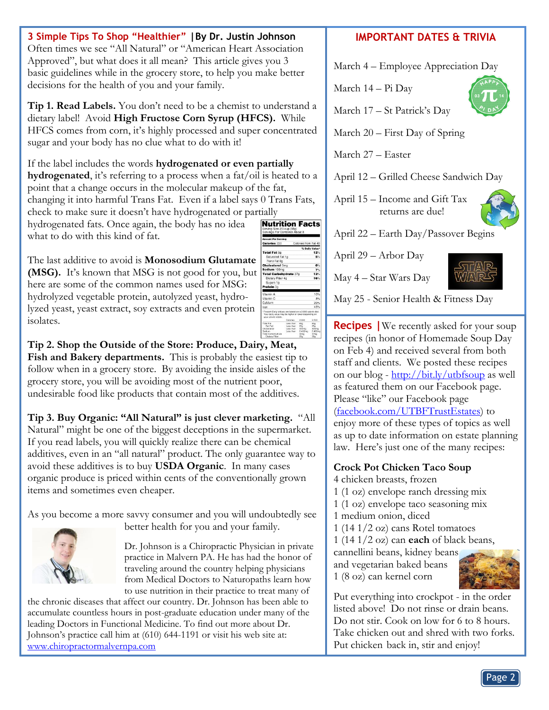**3 Simple Tips To Shop "Healthier" |By Dr. Justin Johnson** Often times we see "All Natural" or "American Heart Association Approved", but what does it all mean? This article gives you 3 basic guidelines while in the grocery store, to help you make better decisions for the health of you and your family.

**Tip 1. Read Labels.** You don't need to be a chemist to understand a dietary label! Avoid **High Fructose Corn Syrup (HFCS).** While HFCS comes from corn, it's highly processed and super concentrated sugar and your body has no clue what to do with it!

If the label includes the words **hydrogenated or even partially hydrogenated**, it's referring to a process when a fat/oil is heated to a point that a change occurs in the molecular makeup of the fat, changing it into harmful Trans Fat. Even if a label says 0 Trans Fats, check to make sure it doesn't have hydrogenated or partially

hydrogenated fats. Once again, the body has no idea what to do with this kind of fat.

**Nutrition Facts Total Fat 8d** The last additive to avoid is **Monosodium Glutamate** The started one of the state of the state of the state of the state of the state of the state of the state of the state of the state of the state of the state of the sta The last additive to avoid is **Monosodium Glutamate** here are some of the common names used for MSG:

hydrolyzed vegetable protein, autolyzed yeast, hydrolyzed yeast, yeast extract, soy extracts and even protein isolates. **Tip 2. Shop the Outside of the Store: Produce, Dairy, Meat,**

**Fish and Bakery departments.** This is probably the easiest tip to follow when in a grocery store. By avoiding the inside aisles of the grocery store, you will be avoiding most of the nutrient poor, undesirable food like products that contain most of the additives.

**Tip 3. Buy Organic: "All Natural" is just clever marketing.** "All Natural" might be one of the biggest deceptions in the supermarket. If you read labels, you will quickly realize there can be chemical additives, even in an "all natural" product. The only guarantee way to avoid these additives is to buy **USDA Organic**. In many cases organic produce is priced within cents of the conventionally grown items and sometimes even cheaper.

As you become a more savvy consumer and you will undoubtedly see



better health for you and your family.

Dr. Johnson is a Chiropractic Physician in private practice in Malvern PA. He has had the honor of traveling around the country helping physicians from Medical Doctors to Naturopaths learn how to use nutrition in their practice to treat many of

the chronic diseases that affect our country. Dr. Johnson has been able to accumulate countless hours in post-graduate education under many of the leading Doctors in Functional Medicine. To find out more about Dr. Johnson's practice call him at (610) 644-1191 or visit his web site at: [www.chiropractormalvernpa.com](file:///C:/Users/Owner/AppData/Local/Microsoft/Windows/Temporary%20Internet%20Files/Content.Outlook/BQJA2Z2J/www.chiropractormalvernpa.com)

# **IMPORTANT DATES & TRIVIA**

March 4 – Employee Appreciation Day

March 14 – Pi Day

March 17 – St Patrick's Day



March 20 – First Day of Spring

March 27 – Easter

April 12 – Grilled Cheese Sandwich Day

April 15 – Income and Gift Tax returns are due!



April 22 – Earth Day/Passover Begins

April 29 – Arbor Day

May 4 – Star Wars Day



May 25 - Senior Health & Fitness Day

**Recipes |**We recently asked for your soup recipes (in honor of Homemade Soup Day on Feb 4) and received several from both staff and clients. We posted these recipes on our blog - <http://bit.ly/utbfsoup> as well as featured them on our Facebook page. Please "like" our Facebook page [\(facebook.com/UTBFTrustEstates\)](http://www.facebook.com/UTBFTrustEstates) to enjoy more of these types of topics as well as up to date information on estate planning law. Here's just one of the many recipes:

## **Crock Pot Chicken Taco Soup**

4 chicken breasts, frozen

- 1 (1 oz) envelope ranch dressing mix 1 (1 oz) envelope taco seasoning mix
- 1 medium onion, diced
- 1 (14 1/2 oz) cans Rotel tomatoes
- 1 (14 1/2 oz) can **each** of black beans,

cannellini beans, kidney beans and vegetarian baked beans 1 (8 oz) can kernel corn



Put everything into crockpot - in the order listed above! Do not rinse or drain beans. Do not stir. Cook on low for 6 to 8 hours. Take chicken out and shred with two forks. Put chicken back in, stir and enjoy!

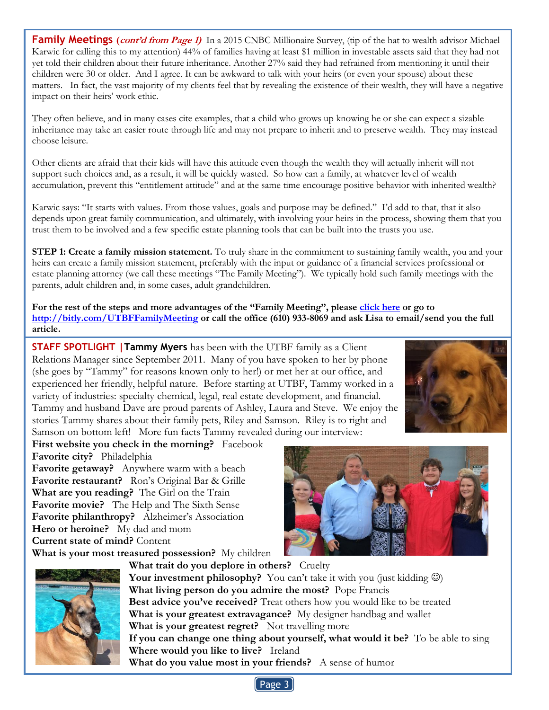**Family Meetings** (*cont'd from Page 1*) In a 2015 CNBC Millionaire Survey, (tip of the hat to wealth advisor Michael Karwic for calling this to my attention) 44% of families having at least \$1 million in investable assets said that they had not yet told their children about their future inheritance. Another 27% said they had refrained from mentioning it until their children were 30 or older. And I agree. It can be awkward to talk with your heirs (or even your spouse) about these matters. In fact, the vast majority of my clients feel that by revealing the existence of their wealth, they will have a negative impact on their heirs' work ethic.

They often believe, and in many cases cite examples, that a child who grows up knowing he or she can expect a sizable inheritance may take an easier route through life and may not prepare to inherit and to preserve wealth. They may instead choose leisure.

Other clients are afraid that their kids will have this attitude even though the wealth they will actually inherit will not support such choices and, as a result, it will be quickly wasted. So how can a family, at whatever level of wealth accumulation, prevent this "entitlement attitude" and at the same time encourage positive behavior with inherited wealth?

Karwic says: "It starts with values. From those values, goals and purpose may be defined." I'd add to that, that it also depends upon great family communication, and ultimately, with involving your heirs in the process, showing them that you trust them to be involved and a few specific estate planning tools that can be built into the trusts you use.

**STEP 1: Create a family mission statement.** To truly share in the commitment to sustaining family wealth, you and your heirs can create a family mission statement, preferably with the input or guidance of a financial services professional or estate planning attorney (we call these meetings "The Family Meeting"). We typically hold such family meetings with the parents, adult children and, in some cases, adult grandchildren.

**For the rest of the steps and more advantages of the "Family Meeting", please [click here](http://bit.ly/21oL25e) or go to <http://bitly.com/UTBFFamilyMeeting> or call the office (610) 933-8069 and ask Lisa to email/send you the full article.** 

**STAFF SPOTLIGHT |Tammy Myers** has been with the UTBF family as a Client Relations Manager since September 2011. Many of you have spoken to her by phone (she goes by "Tammy" for reasons known only to her!) or met her at our office, and experienced her friendly, helpful nature. Before starting at UTBF, Tammy worked in a variety of industries: specialty chemical, legal, real estate development, and financial. Tammy and husband Dave are proud parents of Ashley, Laura and Steve. We enjoy the stories Tammy shares about their family pets, Riley and Samson. Riley is to right and Samson on bottom left! More fun facts Tammy revealed during our interview:



**First website you check in the morning?** Facebook **Favorite city?** Philadelphia

**Favorite getaway?** Anywhere warm with a beach **Favorite restaurant?** Ron's Original Bar & Grille **What are you reading?** The Girl on the Train **Favorite movie?** The Help and The Sixth Sense **Favorite philanthropy?** Alzheimer's Association **Hero or heroine?** My dad and mom **Current state of mind?** Content 

**What is your most treasured possession?** My children





 **What trait do you deplore in others?** Cruelty **Your investment philosophy?** You can't take it with you (just kidding  $\circledcirc$ ) **What living person do you admire the most?** Pope Francis **Best advice you've received?** Treat others how you would like to be treated **What is your greatest extravagance?** My designer handbag and wallet **What is your greatest regret?** Not travelling more **If you can change one thing about yourself, what would it be?** To be able to sing **Where would you like to live?** Ireland **What do you value most in your friends?** A sense of humor

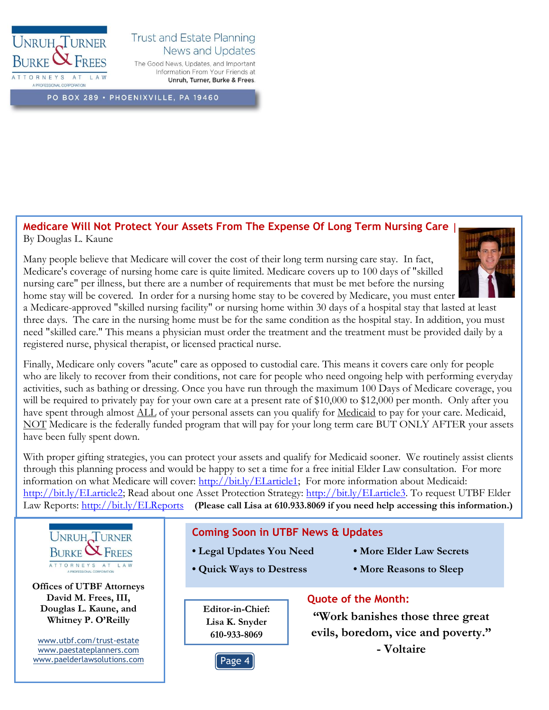

#### **Trust and Estate Planning** News and Updates

The Good News, Updates, and Important Information From Your Friends at Unruh, Turner, Burke & Frees.

PO BOX 289 · PHOENIXVILLE, PA 19460

#### **Medicare Will Not Protect Your Assets From The Expense Of Long Term Nursing Care |** By Douglas L. Kaune

Many people believe that Medicare will cover the cost of their long term nursing care stay. In fact, Medicare's coverage of nursing home care is quite limited. Medicare covers up to 100 days of "skilled nursing care" per illness, but there are a number of requirements that must be met before the nursing home stay will be covered. In order for a nursing home stay to be covered by Medicare, you must enter



a Medicare-approved "skilled nursing facility" or nursing home within 30 days of a hospital stay that lasted at least three days. The care in the nursing home must be for the same condition as the hospital stay. In addition, you must need "skilled care." This means a physician must order the treatment and the treatment must be provided daily by a registered nurse, physical therapist, or licensed practical nurse.

Finally, Medicare only covers "acute" care as opposed to custodial care. This means it covers care only for people who are likely to recover from their conditions, not care for people who need ongoing help with performing everyday activities, such as bathing or dressing. Once you have run through the maximum 100 Days of Medicare coverage, you will be required to privately pay for your own care at a present rate of \$10,000 to \$12,000 per month. Only after you have spent through almost ALL of your personal assets can you qualify for Medicaid to pay for your care. Medicaid, NOT Medicare is the federally funded program that will pay for your long term care BUT ONLY AFTER your assets have been fully spent down.

With proper gifting strategies, you can protect your assets and qualify for Medicaid sooner. We routinely assist clients through this planning process and would be happy to set a time for a free initial Elder Law consultation. For more information on what Medicare will cover: [http://bit.ly/ELarticle1;](http://bit.ly/ELarticle1) For more information about Medicaid: [http://bit.ly/ELarticle2;](http://bit.ly/ELarticle2) Read about one Asset Protection Strategy: [http://bit.ly/ELarticle3.](http://bit.ly/ELarticle3) To request UTBF Elder Law Reports:<http://bit.ly/ELReports>**(Please call Lisa at 610.933.8069 if you need help accessing this information.)**



**Offices of UTBF Attorneys David M. Frees, III, Douglas L. Kaune, and Whitney P. O'Reilly**

[www.utbf.com/trust-estate](http://www.utbf.com/trust-estate) [www.paestateplanners.com](http://www.paestateplanners.com/) [www.paelderlawsolutions.com](http://www.paelderlawsolutions.com/)

#### **Coming Soon in UTBF News & Updates**

- **Legal Updates You Need More Elder Law Secrets**
- 
- **Quick Ways to Destress More Reasons to Sleep**
- 
- - **Quote of the Month:**

**Editor-in-Chief: Lisa K. Snyder 610-933-8069**

**"Work banishes those three great evils, boredom, vice and poverty." - Voltaire**

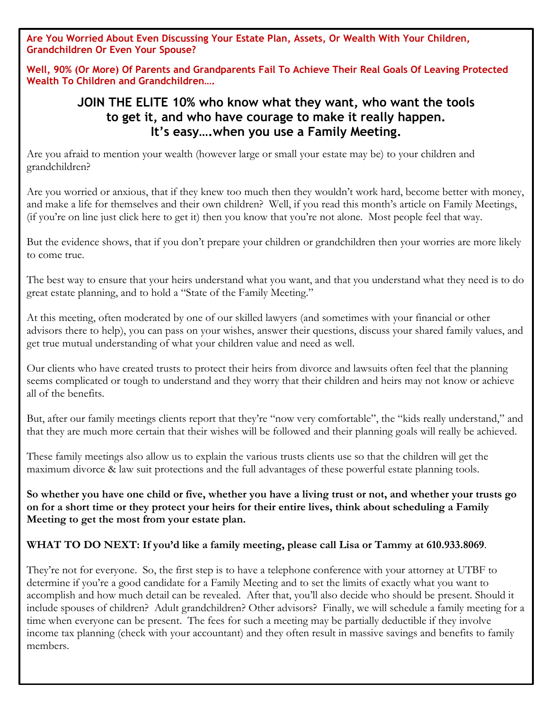**Are You Worried About Even Discussing Your Estate Plan, Assets, Or Wealth With Your Children, Grandchildren Or Even Your Spouse?**

**Well, 90% (Or More) Of Parents and Grandparents Fail To Achieve Their Real Goals Of Leaving Protected Wealth To Children and Grandchildren….**

# **JOIN THE ELITE 10% who know what they want, who want the tools to get it, and who have courage to make it really happen. It's easy….when you use a Family Meeting.**

Are you afraid to mention your wealth (however large or small your estate may be) to your children and grandchildren?

Are you worried or anxious, that if they knew too much then they wouldn't work hard, become better with money, and make a life for themselves and their own children? Well, if you read this month's article on Family Meetings, (if you're on line just click here to get it) then you know that you're not alone. Most people feel that way.

But the evidence shows, that if you don't prepare your children or grandchildren then your worries are more likely to come true.

The best way to ensure that your heirs understand what you want, and that you understand what they need is to do great estate planning, and to hold a "State of the Family Meeting."

At this meeting, often moderated by one of our skilled lawyers (and sometimes with your financial or other advisors there to help), you can pass on your wishes, answer their questions, discuss your shared family values, and get true mutual understanding of what your children value and need as well.

Our clients who have created trusts to protect their heirs from divorce and lawsuits often feel that the planning seems complicated or tough to understand and they worry that their children and heirs may not know or achieve all of the benefits.

But, after our family meetings clients report that they're "now very comfortable", the "kids really understand," and that they are much more certain that their wishes will be followed and their planning goals will really be achieved.

These family meetings also allow us to explain the various trusts clients use so that the children will get the maximum divorce & law suit protections and the full advantages of these powerful estate planning tools.

**So whether you have one child or five, whether you have a living trust or not, and whether your trusts go on for a short time or they protect your heirs for their entire lives, think about scheduling a Family Meeting to get the most from your estate plan.** 

## **WHAT TO DO NEXT: If you'd like a family meeting, please call Lisa or Tammy at 610.933.8069**.

They're not for everyone. So, the first step is to have a telephone conference with your attorney at UTBF to determine if you're a good candidate for a Family Meeting and to set the limits of exactly what you want to accomplish and how much detail can be revealed. After that, you'll also decide who should be present. Should it include spouses of children? Adult grandchildren? Other advisors? Finally, we will schedule a family meeting for a time when everyone can be present. The fees for such a meeting may be partially deductible if they involve income tax planning (check with your accountant) and they often result in massive savings and benefits to family members.